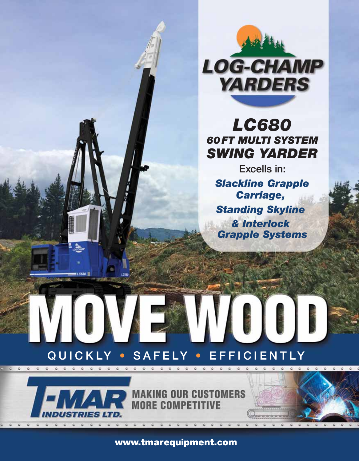

# *LC680 60FT MULTI SYSTEM SWING YARDER*

Excells in: *Slackline Grapple Carriage, Standing Skyline & Interlock Grapple Systems*

# QUICKLY • SAFELY • EFFICIENTLY



 $\begin{array}{ccccc}\n\bullet & \bullet & \bullet\n\end{array}$ 

 $\mathbf{C}$ 

 $\mathcal{L} \quad \mathcal{L}$ 

 $16680$ 

www.tmarequipment.com